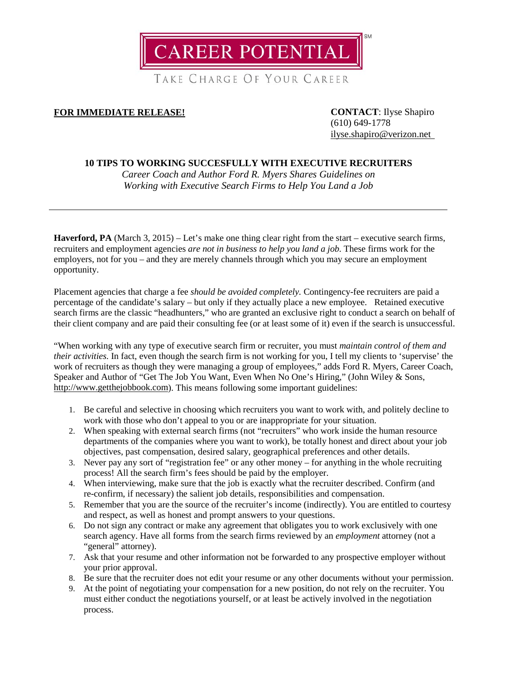

TAKE CHARGE OF YOUR CAREER

# **FOR IMMEDIATE RELEASE! CONTACT**: Ilyse Shapiro

(610) 649-1778 [ilyse.shapiro@verizon.net](mailto:ilyse.shapiro@verizon.net)

## **10 TIPS TO WORKING SUCCESFULLY WITH EXECUTIVE RECRUITERS**

*Career Coach and Author Ford R. Myers Shares Guidelines on Working with Executive Search Firms to Help You Land a Job*

**Haverford, PA** (March 3, 2015) – Let's make one thing clear right from the start – executive search firms, recruiters and employment agencies *are not in business to help you land a job.* These firms work for the employers, not for you – and they are merely channels through which you may secure an employment opportunity.

Placement agencies that charge a fee *should be avoided completely.* Contingency-fee recruiters are paid a percentage of the candidate's salary – but only if they actually place a new employee. Retained executive search firms are the classic "headhunters," who are granted an exclusive right to conduct a search on behalf of their client company and are paid their consulting fee (or at least some of it) even if the search is unsuccessful.

"When working with any type of executive search firm or recruiter, you must *maintain control of them and their activities.* In fact, even though the search firm is not working for you, I tell my clients to 'supervise' the work of recruiters as though they were managing a group of employees," adds Ford R. Myers, Career Coach, Speaker and Author of "Get The Job You Want, Even When No One's Hiring," (John Wiley & Sons, [http://www.getthejobbook.com\)](http://www.getthejobbook.com/). This means following some important guidelines:

- 1. Be careful and selective in choosing which recruiters you want to work with, and politely decline to work with those who don't appeal to you or are inappropriate for your situation.
- 2. When speaking with external search firms (not "recruiters" who work inside the human resource departments of the companies where you want to work), be totally honest and direct about your job objectives, past compensation, desired salary, geographical preferences and other details.
- 3. Never pay any sort of "registration fee" or any other money for anything in the whole recruiting process! All the search firm's fees should be paid by the employer.
- 4. When interviewing, make sure that the job is exactly what the recruiter described. Confirm (and re-confirm, if necessary) the salient job details, responsibilities and compensation.
- 5. Remember that you are the source of the recruiter's income (indirectly). You are entitled to courtesy and respect, as well as honest and prompt answers to your questions.
- 6. Do not sign any contract or make any agreement that obligates you to work exclusively with one search agency. Have all forms from the search firms reviewed by an *employment* attorney (not a "general" attorney).
- 7. Ask that your resume and other information not be forwarded to any prospective employer without your prior approval.
- 8. Be sure that the recruiter does not edit your resume or any other documents without your permission.
- 9. At the point of negotiating your compensation for a new position, do not rely on the recruiter. You must either conduct the negotiations yourself, or at least be actively involved in the negotiation process.